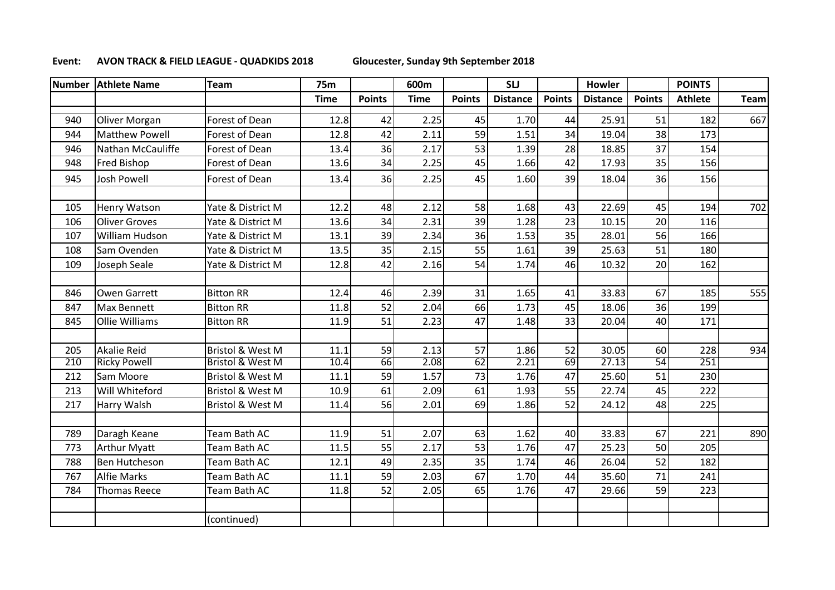## **Event: AVON TRACK & FIELD LEAGUE - QUADKIDS 2018 Gloucester, Sunday 9th September 2018**

|     | Number Athlete Name   | <b>Team</b>                 | <b>75m</b>  |               | 600m        |               | <b>SLJ</b>      |               | <b>Howler</b>   |               | <b>POINTS</b>  |             |
|-----|-----------------------|-----------------------------|-------------|---------------|-------------|---------------|-----------------|---------------|-----------------|---------------|----------------|-------------|
|     |                       |                             | <b>Time</b> | <b>Points</b> | <b>Time</b> | <b>Points</b> | <b>Distance</b> | <b>Points</b> | <b>Distance</b> | <b>Points</b> | <b>Athlete</b> | <b>Team</b> |
| 940 | Oliver Morgan         | Forest of Dean              | 12.8        | 42            | 2.25        | 45            | 1.70            | 44            | 25.91           | 51            | 182            | 667         |
| 944 | <b>Matthew Powell</b> | Forest of Dean              | 12.8        | 42            | 2.11        | 59            | 1.51            | 34            | 19.04           | 38            | 173            |             |
| 946 | Nathan McCauliffe     | Forest of Dean              | 13.4        | 36            | 2.17        | 53            | 1.39            | 28            | 18.85           | 37            | 154            |             |
| 948 | <b>Fred Bishop</b>    | Forest of Dean              | 13.6        | 34            | 2.25        | 45            | 1.66            | 42            | 17.93           | 35            | 156            |             |
| 945 | Josh Powell           | Forest of Dean              | 13.4        | 36            | 2.25        | 45            | 1.60            | 39            | 18.04           | 36            | 156            |             |
|     |                       |                             |             |               |             |               |                 |               |                 |               |                |             |
| 105 | <b>Henry Watson</b>   | Yate & District M           | 12.2        | 48            | 2.12        | 58            | 1.68            | 43            | 22.69           | 45            | 194            | 702         |
| 106 | <b>Oliver Groves</b>  | Yate & District M           | 13.6        | 34            | 2.31        | 39            | 1.28            | 23            | 10.15           | 20            | 116            |             |
| 107 | William Hudson        | Yate & District M           | 13.1        | 39            | 2.34        | 36            | 1.53            | 35            | 28.01           | 56            | 166            |             |
| 108 | Sam Ovenden           | Yate & District M           | 13.5        | 35            | 2.15        | 55            | 1.61            | 39            | 25.63           | 51            | 180            |             |
| 109 | Joseph Seale          | Yate & District M           | 12.8        | 42            | 2.16        | 54            | 1.74            | 46            | 10.32           | 20            | 162            |             |
|     |                       |                             |             |               |             |               |                 |               |                 |               |                |             |
| 846 | <b>Owen Garrett</b>   | <b>Bitton RR</b>            | 12.4        | 46            | 2.39        | 31            | 1.65            | 41            | 33.83           | 67            | 185            | 555         |
| 847 | <b>Max Bennett</b>    | <b>Bitton RR</b>            | 11.8        | 52            | 2.04        | 66            | 1.73            | 45            | 18.06           | 36            | 199            |             |
| 845 | <b>Ollie Williams</b> | <b>Bitton RR</b>            | 11.9        | 51            | 2.23        | 47            | 1.48            | 33            | 20.04           | 40            | 171            |             |
|     |                       |                             |             |               |             |               |                 |               |                 |               |                |             |
| 205 | <b>Akalie Reid</b>    | <b>Bristol &amp; West M</b> | 11.1        | 59            | 2.13        | 57            | 1.86            | 52            | 30.05           | 60            | 228            | 934         |
| 210 | <b>Ricky Powell</b>   | <b>Bristol &amp; West M</b> | 10.4        | 66            | 2.08        | 62            | 2.21            | 69            | 27.13           | 54            | 251            |             |
| 212 | Sam Moore             | Bristol & West M            | 11.1        | 59            | 1.57        | 73            | 1.76            | 47            | 25.60           | 51            | 230            |             |
| 213 | Will Whiteford        | Bristol & West M            | 10.9        | 61            | 2.09        | 61            | 1.93            | 55            | 22.74           | 45            | 222            |             |
| 217 | Harry Walsh           | Bristol & West M            | 11.4        | 56            | 2.01        | 69            | 1.86            | 52            | 24.12           | 48            | 225            |             |
|     |                       |                             |             |               |             |               |                 |               |                 |               |                |             |
| 789 | Daragh Keane          | <b>Team Bath AC</b>         | 11.9        | 51            | 2.07        | 63            | 1.62            | 40            | 33.83           | 67            | 221            | 890         |
| 773 | <b>Arthur Myatt</b>   | Team Bath AC                | 11.5        | 55            | 2.17        | 53            | 1.76            | 47            | 25.23           | 50            | 205            |             |
| 788 | <b>Ben Hutcheson</b>  | Team Bath AC                | 12.1        | 49            | 2.35        | 35            | 1.74            | 46            | 26.04           | 52            | 182            |             |
| 767 | <b>Alfie Marks</b>    | Team Bath AC                | 11.1        | 59            | 2.03        | 67            | 1.70            | 44            | 35.60           | 71            | 241            |             |
| 784 | <b>Thomas Reece</b>   | Team Bath AC                | 11.8        | 52            | 2.05        | 65            | 1.76            | 47            | 29.66           | 59            | 223            |             |
|     |                       |                             |             |               |             |               |                 |               |                 |               |                |             |
|     |                       | (continued)                 |             |               |             |               |                 |               |                 |               |                |             |